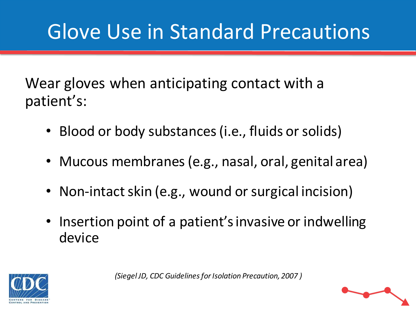## Glove Use in Standard Precautions

Wear gloves when anticipating contact with a patient's:

- Blood or body substances (i.e., fluids or solids)
- Mucous membranes (e.g., nasal, oral, genital area)
- Non-intact skin (e.g., wound or surgical incision)
- Insertion point of a patient's invasive or indwelling device



*(Siegel JD, CDC Guidelines for Isolation Precaution, 2007 )*

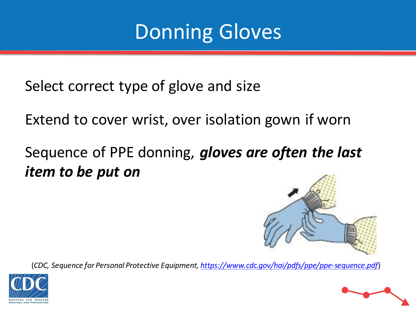#### Donning Gloves

Select correct type of glove and size

Extend to cover wrist, over isolation gown if worn

#### Sequence of PPE donning, *gloves are often the last item to be put on*





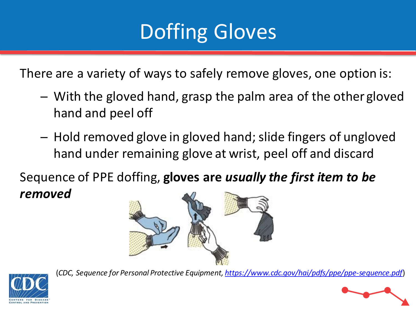## Doffing Gloves

There are a variety of ways to safely remove gloves, one option is:

- With the gloved hand, grasp the palm area of the other gloved hand and peel off
- Hold removed glove in gloved hand; slide fingers of ungloved hand under remaining glove at wrist, peel off and discard

Sequence of PPE doffing, **gloves are** *usually the first item to be removed*





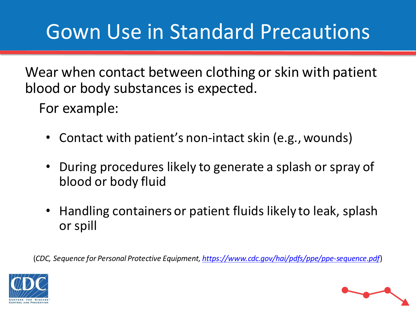## Gown Use in Standard Precautions

Wear when contact between clothing or skin with patient blood or body substances is expected.

For example:

- Contact with patient's non-intact skin (e.g., wounds)
- During procedures likely to generate a splash or spray of blood or body fluid
- Handling containers or patient fluids likely to leak, splash or spill



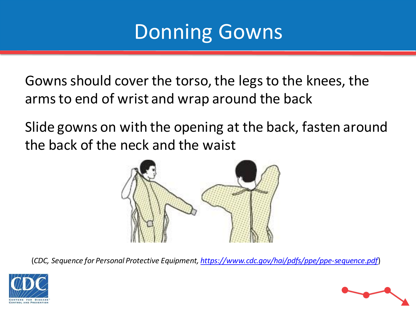#### Donning Gowns

Gowns should cover the torso, the legs to the knees, the arms to end of wrist and wrap around the back

Slide gowns on with the opening at the back, fasten around the back of the neck and the waist





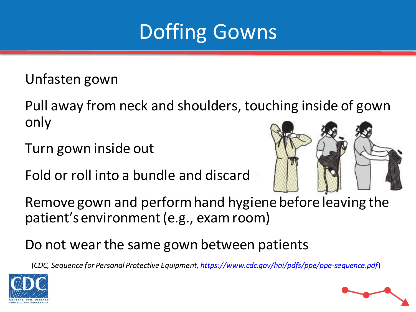

Unfasten gown

Pull away from neck and shoulders, touching inside of gown only

Turn gown inside out

Fold or roll into a bundle and discard



Remove gown and perform hand hygiene before leaving the patient's environment (e.g., exam room)

Do not wear the same gown between patients



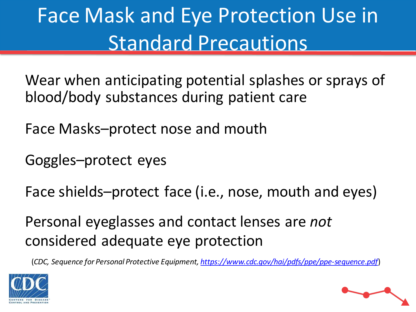# Face Mask and Eye Protection Use in Standard Precautions

Wear when anticipating potential splashes or sprays of blood/body substances during patient care

Face Masks–protect nose and mouth

Goggles–protect eyes

Face shields–protect face (i.e., nose, mouth and eyes)

Personal eyeglasses and contact lenses are *not* considered adequate eye protection



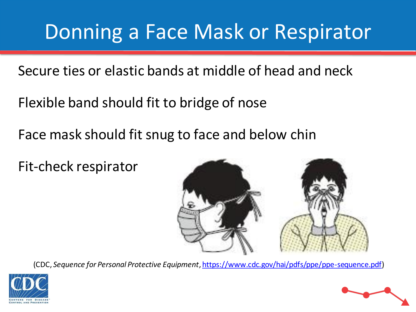#### Donning a Face Mask or Respirator

Secure ties or elastic bands at middle of head and neck

Flexible band should fit to bridge of nose

Face mask should fit snug to face and below chin

Fit-check respirator





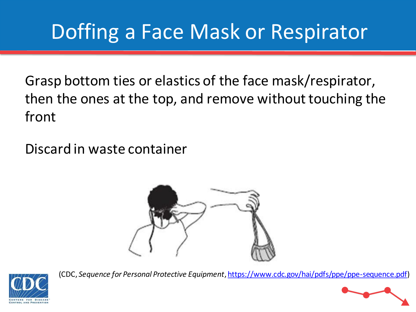## Doffing a Face Mask or Respirator

Grasp bottom ties or elastics of the face mask/respirator, then the ones at the top, and remove without touching the front

Discard in waste container





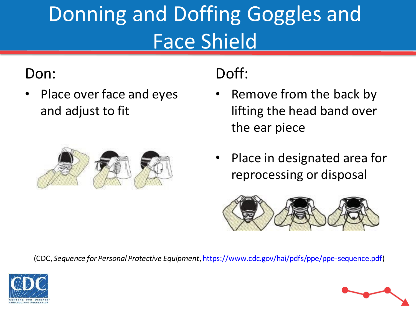# Donning and Doffing Goggles and Face Shield

#### Don:

• Place over face and eyes and adjust to fit



#### Doff:

- Remove from the back by lifting the head band over the ear piece
- Place in designated area for reprocessing or disposal